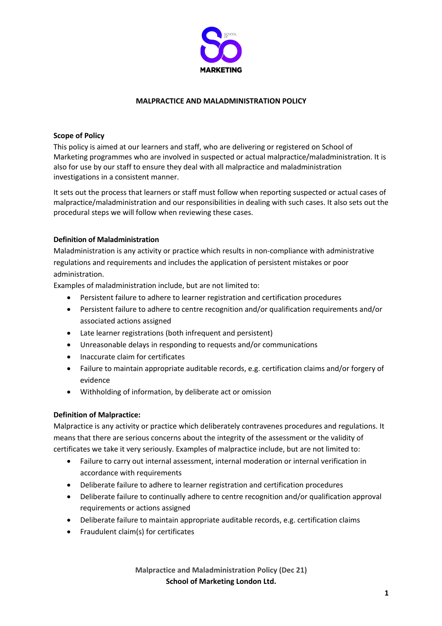

### **MALPRACTICE AND MALADMINISTRATION POLICY**

### **Scope of Policy**

This policy is aimed at our learners and staff, who are delivering or registered on School of Marketing programmes who are involved in suspected or actual malpractice/maladministration. It is also for use by our staff to ensure they deal with all malpractice and maladministration investigations in a consistent manner.

It sets out the process that learners or staff must follow when reporting suspected or actual cases of malpractice/maladministration and our responsibilities in dealing with such cases. It also sets out the procedural steps we will follow when reviewing these cases.

### **Definition of Maladministration**

Maladministration is any activity or practice which results in non-compliance with administrative regulations and requirements and includes the application of persistent mistakes or poor administration.

Examples of maladministration include, but are not limited to:

- Persistent failure to adhere to learner registration and certification procedures
- Persistent failure to adhere to centre recognition and/or qualification requirements and/or associated actions assigned
- Late learner registrations (both infrequent and persistent)
- Unreasonable delays in responding to requests and/or communications
- Inaccurate claim for certificates
- Failure to maintain appropriate auditable records, e.g. certification claims and/or forgery of evidence
- Withholding of information, by deliberate act or omission

#### **Definition of Malpractice:**

Malpractice is any activity or practice which deliberately contravenes procedures and regulations. It means that there are serious concerns about the integrity of the assessment or the validity of certificates we take it very seriously. Examples of malpractice include, but are not limited to:

- Failure to carry out internal assessment, internal moderation or internal verification in accordance with requirements
- Deliberate failure to adhere to learner registration and certification procedures
- Deliberate failure to continually adhere to centre recognition and/or qualification approval requirements or actions assigned
- Deliberate failure to maintain appropriate auditable records, e.g. certification claims
- Fraudulent claim(s) for certificates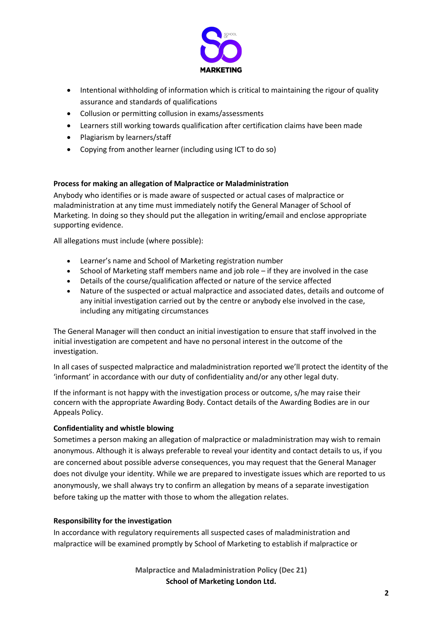

- Intentional withholding of information which is critical to maintaining the rigour of quality assurance and standards of qualifications
- Collusion or permitting collusion in exams/assessments
- Learners still working towards qualification after certification claims have been made
- Plagiarism by learners/staff
- Copying from another learner (including using ICT to do so)

# **Process for making an allegation of Malpractice or Maladministration**

Anybody who identifies or is made aware of suspected or actual cases of malpractice or maladministration at any time must immediately notify the General Manager of School of Marketing. In doing so they should put the allegation in writing/email and enclose appropriate supporting evidence.

All allegations must include (where possible):

- Learner's name and School of Marketing registration number
- School of Marketing staff members name and job role if they are involved in the case
- Details of the course/qualification affected or nature of the service affected
- Nature of the suspected or actual malpractice and associated dates, details and outcome of any initial investigation carried out by the centre or anybody else involved in the case, including any mitigating circumstances

The General Manager will then conduct an initial investigation to ensure that staff involved in the initial investigation are competent and have no personal interest in the outcome of the investigation.

In all cases of suspected malpractice and maladministration reported we'll protect the identity of the 'informant' in accordance with our duty of confidentiality and/or any other legal duty.

If the informant is not happy with the investigation process or outcome, s/he may raise their concern with the appropriate Awarding Body. Contact details of the Awarding Bodies are in our Appeals Policy.

# **Confidentiality and whistle blowing**

Sometimes a person making an allegation of malpractice or maladministration may wish to remain anonymous. Although it is always preferable to reveal your identity and contact details to us, if you are concerned about possible adverse consequences, you may request that the General Manager does not divulge your identity. While we are prepared to investigate issues which are reported to us anonymously, we shall always try to confirm an allegation by means of a separate investigation before taking up the matter with those to whom the allegation relates.

# **Responsibility for the investigation**

In accordance with regulatory requirements all suspected cases of maladministration and malpractice will be examined promptly by School of Marketing to establish if malpractice or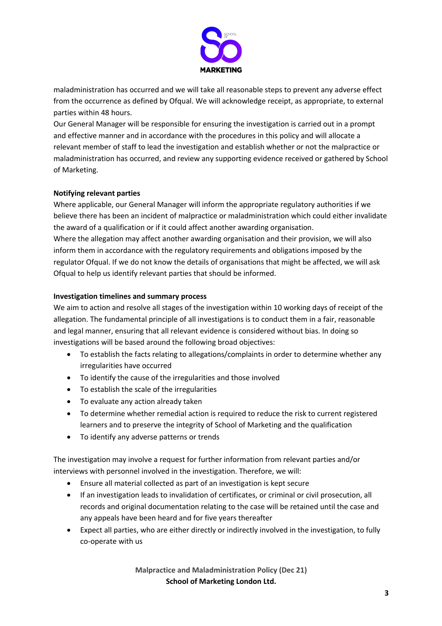

maladministration has occurred and we will take all reasonable steps to prevent any adverse effect from the occurrence as defined by Ofqual. We will acknowledge receipt, as appropriate, to external parties within 48 hours.

Our General Manager will be responsible for ensuring the investigation is carried out in a prompt and effective manner and in accordance with the procedures in this policy and will allocate a relevant member of staff to lead the investigation and establish whether or not the malpractice or maladministration has occurred, and review any supporting evidence received or gathered by School of Marketing.

# **Notifying relevant parties**

Where applicable, our General Manager will inform the appropriate regulatory authorities if we believe there has been an incident of malpractice or maladministration which could either invalidate the award of a qualification or if it could affect another awarding organisation.

Where the allegation may affect another awarding organisation and their provision, we will also inform them in accordance with the regulatory requirements and obligations imposed by the regulator Ofqual. If we do not know the details of organisations that might be affected, we will ask Ofqual to help us identify relevant parties that should be informed.

# **Investigation timelines and summary process**

We aim to action and resolve all stages of the investigation within 10 working days of receipt of the allegation. The fundamental principle of all investigations is to conduct them in a fair, reasonable and legal manner, ensuring that all relevant evidence is considered without bias. In doing so investigations will be based around the following broad objectives:

- To establish the facts relating to allegations/complaints in order to determine whether any irregularities have occurred
- To identify the cause of the irregularities and those involved
- To establish the scale of the irregularities
- To evaluate any action already taken
- To determine whether remedial action is required to reduce the risk to current registered learners and to preserve the integrity of School of Marketing and the qualification
- To identify any adverse patterns or trends

The investigation may involve a request for further information from relevant parties and/or interviews with personnel involved in the investigation. Therefore, we will:

- Ensure all material collected as part of an investigation is kept secure
- If an investigation leads to invalidation of certificates, or criminal or civil prosecution, all records and original documentation relating to the case will be retained until the case and any appeals have been heard and for five years thereafter
- Expect all parties, who are either directly or indirectly involved in the investigation, to fully co-operate with us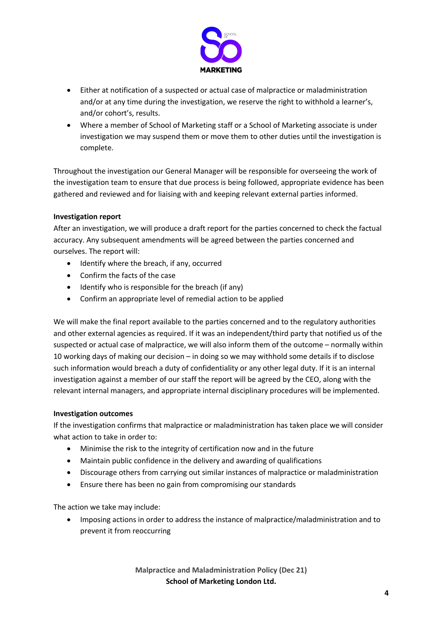

- Either at notification of a suspected or actual case of malpractice or maladministration and/or at any time during the investigation, we reserve the right to withhold a learner's, and/or cohort's, results.
- Where a member of School of Marketing staff or a School of Marketing associate is under investigation we may suspend them or move them to other duties until the investigation is complete.

Throughout the investigation our General Manager will be responsible for overseeing the work of the investigation team to ensure that due process is being followed, appropriate evidence has been gathered and reviewed and for liaising with and keeping relevant external parties informed.

# **Investigation report**

After an investigation, we will produce a draft report for the parties concerned to check the factual accuracy. Any subsequent amendments will be agreed between the parties concerned and ourselves. The report will:

- Identify where the breach, if any, occurred
- Confirm the facts of the case
- Identify who is responsible for the breach (if any)
- Confirm an appropriate level of remedial action to be applied

We will make the final report available to the parties concerned and to the regulatory authorities and other external agencies as required. If it was an independent/third party that notified us of the suspected or actual case of malpractice, we will also inform them of the outcome – normally within 10 working days of making our decision – in doing so we may withhold some details if to disclose such information would breach a duty of confidentiality or any other legal duty. If it is an internal investigation against a member of our staff the report will be agreed by the CEO, along with the relevant internal managers, and appropriate internal disciplinary procedures will be implemented.

# **Investigation outcomes**

If the investigation confirms that malpractice or maladministration has taken place we will consider what action to take in order to:

- Minimise the risk to the integrity of certification now and in the future
- Maintain public confidence in the delivery and awarding of qualifications
- Discourage others from carrying out similar instances of malpractice or maladministration
- Ensure there has been no gain from compromising our standards

The action we take may include:

• Imposing actions in order to address the instance of malpractice/maladministration and to prevent it from reoccurring